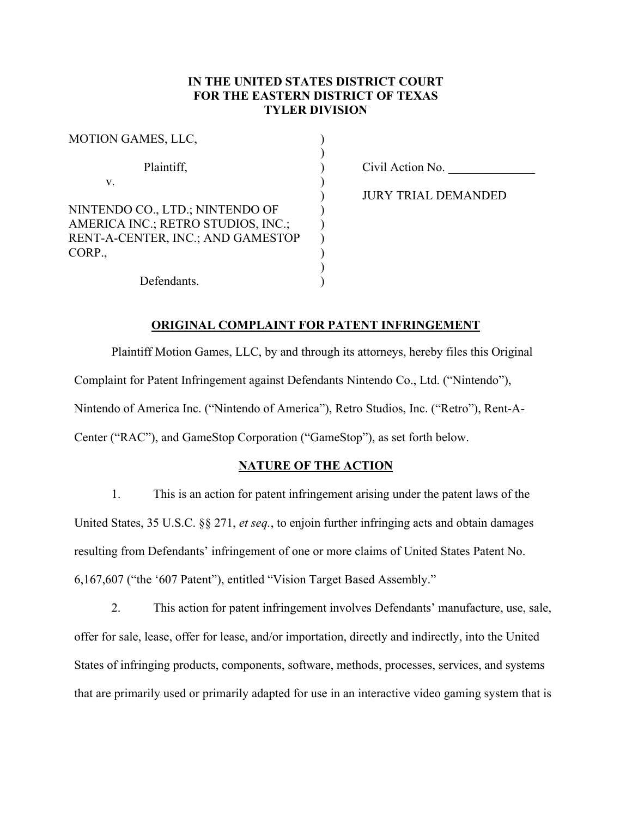# **IN THE UNITED STATES DISTRICT COURT FOR THE EASTERN DISTRICT OF TEXAS TYLER DIVISION**

| MOTION GAMES, LLC,                                                                                         |  |
|------------------------------------------------------------------------------------------------------------|--|
| Plaintiff,                                                                                                 |  |
| V.                                                                                                         |  |
| NINTENDO CO., LTD.; NINTENDO OF<br>AMERICA INC.; RETRO STUDIOS, INC.;<br>RENT-A-CENTER, INC.; AND GAMESTOP |  |
| CORP.                                                                                                      |  |
| Defendants.                                                                                                |  |

Civil Action No. \_\_\_\_\_\_\_\_\_\_\_\_\_\_

JURY TRIAL DEMANDED

# **ORIGINAL COMPLAINT FOR PATENT INFRINGEMENT**

Plaintiff Motion Games, LLC, by and through its attorneys, hereby files this Original Complaint for Patent Infringement against Defendants Nintendo Co., Ltd. ("Nintendo"), Nintendo of America Inc. ("Nintendo of America"), Retro Studios, Inc. ("Retro"), Rent-A-Center ("RAC"), and GameStop Corporation ("GameStop"), as set forth below.

# **NATURE OF THE ACTION**

1. This is an action for patent infringement arising under the patent laws of the United States, 35 U.S.C. §§ 271, *et seq.*, to enjoin further infringing acts and obtain damages resulting from Defendants' infringement of one or more claims of United States Patent No. 6,167,607 ("the '607 Patent"), entitled "Vision Target Based Assembly."

2. This action for patent infringement involves Defendants' manufacture, use, sale, offer for sale, lease, offer for lease, and/or importation, directly and indirectly, into the United States of infringing products, components, software, methods, processes, services, and systems that are primarily used or primarily adapted for use in an interactive video gaming system that is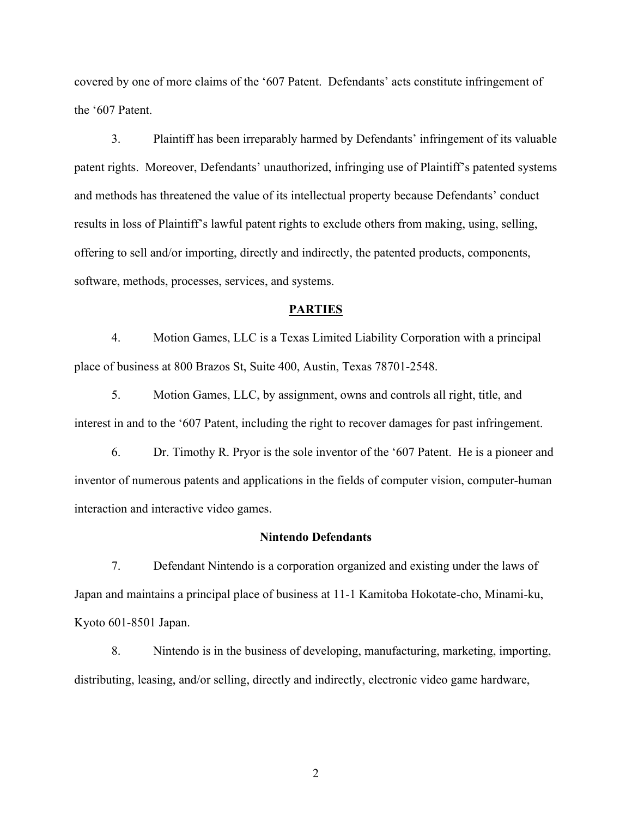covered by one of more claims of the '607 Patent. Defendants' acts constitute infringement of the '607 Patent.

3. Plaintiff has been irreparably harmed by Defendants' infringement of its valuable patent rights. Moreover, Defendants' unauthorized, infringing use of Plaintiff's patented systems and methods has threatened the value of its intellectual property because Defendants' conduct results in loss of Plaintiff's lawful patent rights to exclude others from making, using, selling, offering to sell and/or importing, directly and indirectly, the patented products, components, software, methods, processes, services, and systems.

# **PARTIES**

4. Motion Games, LLC is a Texas Limited Liability Corporation with a principal place of business at 800 Brazos St, Suite 400, Austin, Texas 78701-2548.

5. Motion Games, LLC, by assignment, owns and controls all right, title, and interest in and to the '607 Patent, including the right to recover damages for past infringement.

6. Dr. Timothy R. Pryor is the sole inventor of the '607 Patent. He is a pioneer and inventor of numerous patents and applications in the fields of computer vision, computer-human interaction and interactive video games.

### **Nintendo Defendants**

7. Defendant Nintendo is a corporation organized and existing under the laws of Japan and maintains a principal place of business at 11-1 Kamitoba Hokotate-cho, Minami-ku, Kyoto 601-8501 Japan.

8. Nintendo is in the business of developing, manufacturing, marketing, importing, distributing, leasing, and/or selling, directly and indirectly, electronic video game hardware,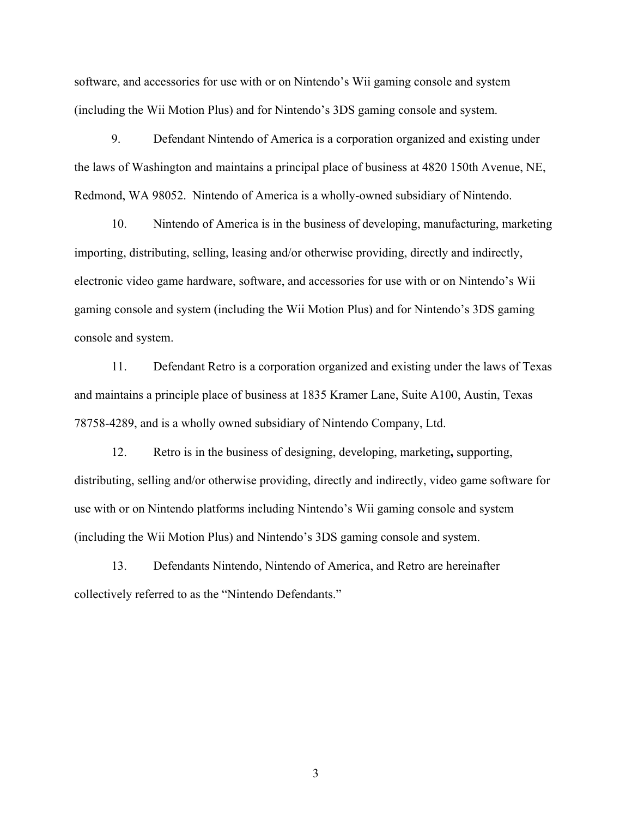software, and accessories for use with or on Nintendo's Wii gaming console and system (including the Wii Motion Plus) and for Nintendo's 3DS gaming console and system.

9. Defendant Nintendo of America is a corporation organized and existing under the laws of Washington and maintains a principal place of business at 4820 150th Avenue, NE, Redmond, WA 98052. Nintendo of America is a wholly-owned subsidiary of Nintendo.

10. Nintendo of America is in the business of developing, manufacturing, marketing importing, distributing, selling, leasing and/or otherwise providing, directly and indirectly, electronic video game hardware, software, and accessories for use with or on Nintendo's Wii gaming console and system (including the Wii Motion Plus) and for Nintendo's 3DS gaming console and system.

11. Defendant Retro is a corporation organized and existing under the laws of Texas and maintains a principle place of business at 1835 Kramer Lane, Suite A100, Austin, Texas 78758-4289, and is a wholly owned subsidiary of Nintendo Company, Ltd.

12. Retro is in the business of designing, developing, marketing**,** supporting, distributing, selling and/or otherwise providing, directly and indirectly, video game software for use with or on Nintendo platforms including Nintendo's Wii gaming console and system (including the Wii Motion Plus) and Nintendo's 3DS gaming console and system.

13. Defendants Nintendo, Nintendo of America, and Retro are hereinafter collectively referred to as the "Nintendo Defendants."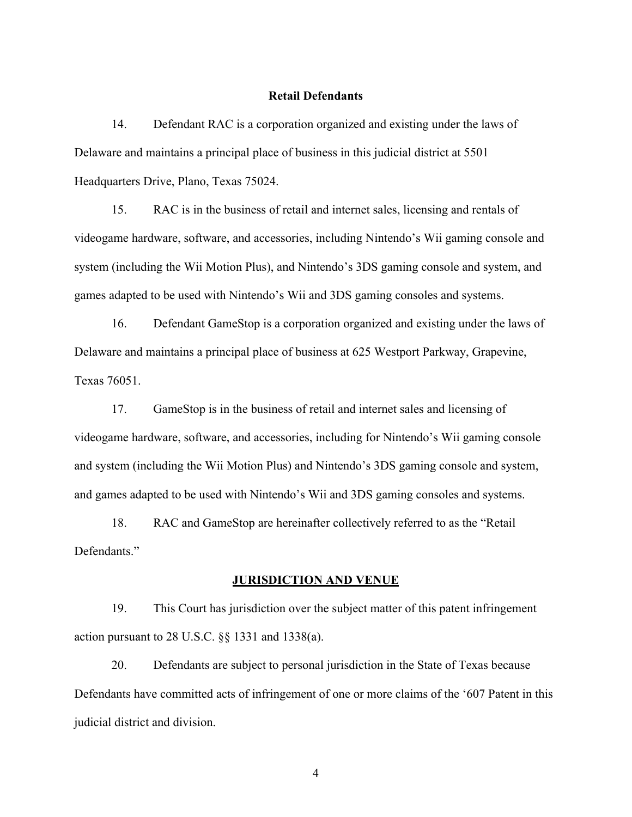# **Retail Defendants**

14. Defendant RAC is a corporation organized and existing under the laws of Delaware and maintains a principal place of business in this judicial district at 5501 Headquarters Drive, Plano, Texas 75024.

15. RAC is in the business of retail and internet sales, licensing and rentals of videogame hardware, software, and accessories, including Nintendo's Wii gaming console and system (including the Wii Motion Plus), and Nintendo's 3DS gaming console and system, and games adapted to be used with Nintendo's Wii and 3DS gaming consoles and systems.

16. Defendant GameStop is a corporation organized and existing under the laws of Delaware and maintains a principal place of business at 625 Westport Parkway, Grapevine, Texas 76051.

17. GameStop is in the business of retail and internet sales and licensing of videogame hardware, software, and accessories, including for Nintendo's Wii gaming console and system (including the Wii Motion Plus) and Nintendo's 3DS gaming console and system, and games adapted to be used with Nintendo's Wii and 3DS gaming consoles and systems.

18. RAC and GameStop are hereinafter collectively referred to as the "Retail Defendants."

# **JURISDICTION AND VENUE**

19. This Court has jurisdiction over the subject matter of this patent infringement action pursuant to 28 U.S.C. §§ 1331 and 1338(a).

20. Defendants are subject to personal jurisdiction in the State of Texas because Defendants have committed acts of infringement of one or more claims of the '607 Patent in this judicial district and division.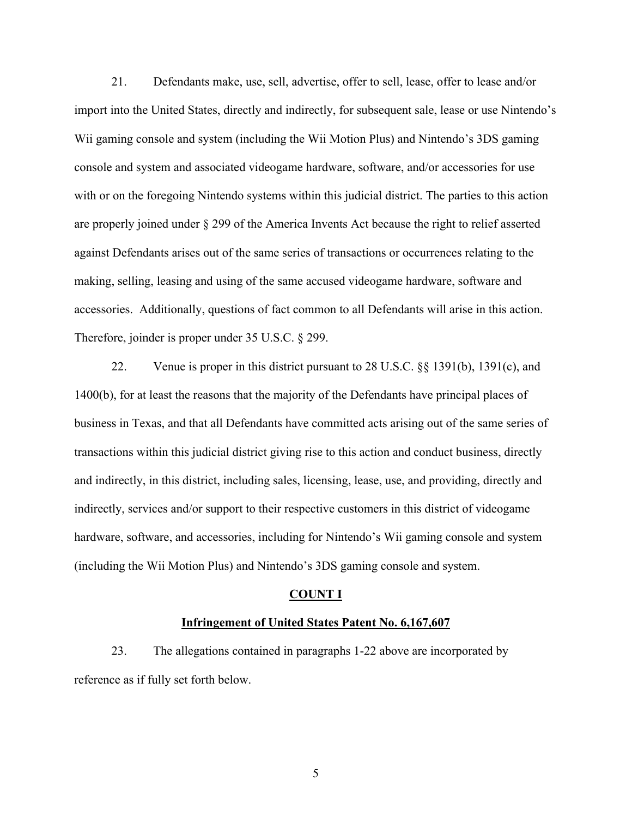21. Defendants make, use, sell, advertise, offer to sell, lease, offer to lease and/or import into the United States, directly and indirectly, for subsequent sale, lease or use Nintendo's Wii gaming console and system (including the Wii Motion Plus) and Nintendo's 3DS gaming console and system and associated videogame hardware, software, and/or accessories for use with or on the foregoing Nintendo systems within this judicial district. The parties to this action are properly joined under § 299 of the America Invents Act because the right to relief asserted against Defendants arises out of the same series of transactions or occurrences relating to the making, selling, leasing and using of the same accused videogame hardware, software and accessories. Additionally, questions of fact common to all Defendants will arise in this action. Therefore, joinder is proper under 35 U.S.C. § 299.

22. Venue is proper in this district pursuant to 28 U.S.C. §§ 1391(b), 1391(c), and 1400(b), for at least the reasons that the majority of the Defendants have principal places of business in Texas, and that all Defendants have committed acts arising out of the same series of transactions within this judicial district giving rise to this action and conduct business, directly and indirectly, in this district, including sales, licensing, lease, use, and providing, directly and indirectly, services and/or support to their respective customers in this district of videogame hardware, software, and accessories, including for Nintendo's Wii gaming console and system (including the Wii Motion Plus) and Nintendo's 3DS gaming console and system.

#### **COUNT I**

# **Infringement of United States Patent No. 6,167,607**

23. The allegations contained in paragraphs 1-22 above are incorporated by reference as if fully set forth below.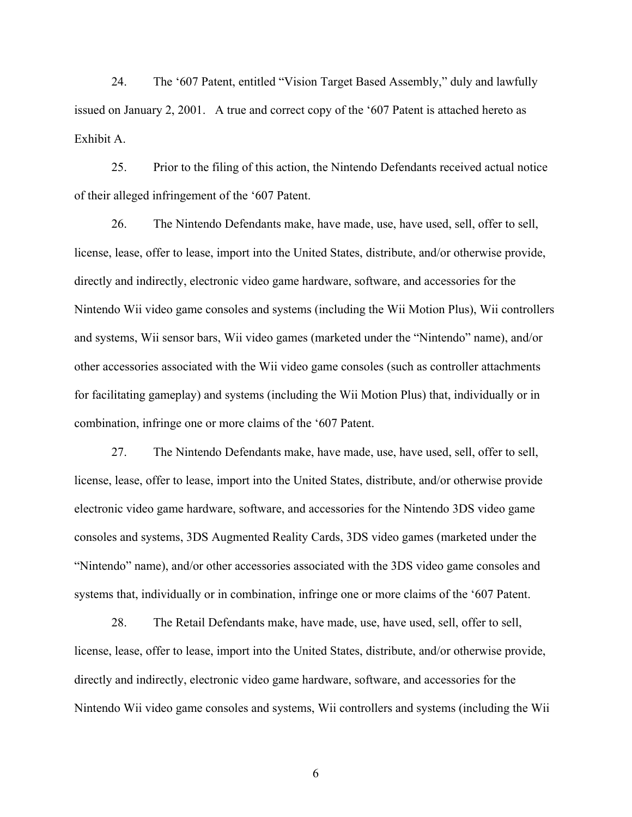24. The '607 Patent, entitled "Vision Target Based Assembly," duly and lawfully issued on January 2, 2001. A true and correct copy of the '607 Patent is attached hereto as Exhibit A.

25. Prior to the filing of this action, the Nintendo Defendants received actual notice of their alleged infringement of the '607 Patent.

26. The Nintendo Defendants make, have made, use, have used, sell, offer to sell, license, lease, offer to lease, import into the United States, distribute, and/or otherwise provide, directly and indirectly, electronic video game hardware, software, and accessories for the Nintendo Wii video game consoles and systems (including the Wii Motion Plus), Wii controllers and systems, Wii sensor bars, Wii video games (marketed under the "Nintendo" name), and/or other accessories associated with the Wii video game consoles (such as controller attachments for facilitating gameplay) and systems (including the Wii Motion Plus) that, individually or in combination, infringe one or more claims of the '607 Patent.

27. The Nintendo Defendants make, have made, use, have used, sell, offer to sell, license, lease, offer to lease, import into the United States, distribute, and/or otherwise provide electronic video game hardware, software, and accessories for the Nintendo 3DS video game consoles and systems, 3DS Augmented Reality Cards, 3DS video games (marketed under the "Nintendo" name), and/or other accessories associated with the 3DS video game consoles and systems that, individually or in combination, infringe one or more claims of the '607 Patent.

28. The Retail Defendants make, have made, use, have used, sell, offer to sell, license, lease, offer to lease, import into the United States, distribute, and/or otherwise provide, directly and indirectly, electronic video game hardware, software, and accessories for the Nintendo Wii video game consoles and systems, Wii controllers and systems (including the Wii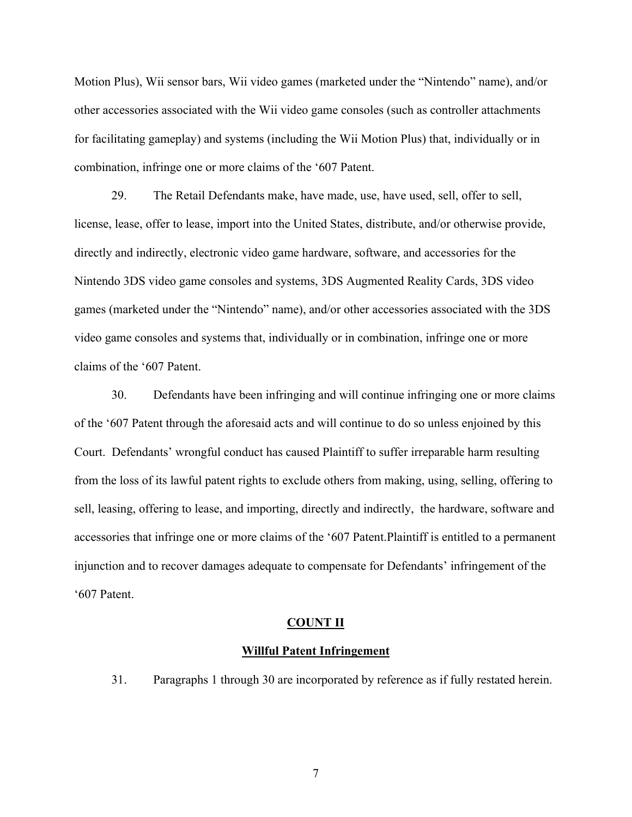Motion Plus), Wii sensor bars, Wii video games (marketed under the "Nintendo" name), and/or other accessories associated with the Wii video game consoles (such as controller attachments for facilitating gameplay) and systems (including the Wii Motion Plus) that, individually or in combination, infringe one or more claims of the '607 Patent.

29. The Retail Defendants make, have made, use, have used, sell, offer to sell, license, lease, offer to lease, import into the United States, distribute, and/or otherwise provide, directly and indirectly, electronic video game hardware, software, and accessories for the Nintendo 3DS video game consoles and systems, 3DS Augmented Reality Cards, 3DS video games (marketed under the "Nintendo" name), and/or other accessories associated with the 3DS video game consoles and systems that, individually or in combination, infringe one or more claims of the '607 Patent.

30. Defendants have been infringing and will continue infringing one or more claims of the '607 Patent through the aforesaid acts and will continue to do so unless enjoined by this Court. Defendants' wrongful conduct has caused Plaintiff to suffer irreparable harm resulting from the loss of its lawful patent rights to exclude others from making, using, selling, offering to sell, leasing, offering to lease, and importing, directly and indirectly, the hardware, software and accessories that infringe one or more claims of the '607 Patent.Plaintiff is entitled to a permanent injunction and to recover damages adequate to compensate for Defendants' infringement of the '607 Patent.

#### **COUNT II**

#### **Willful Patent Infringement**

31. Paragraphs 1 through 30 are incorporated by reference as if fully restated herein.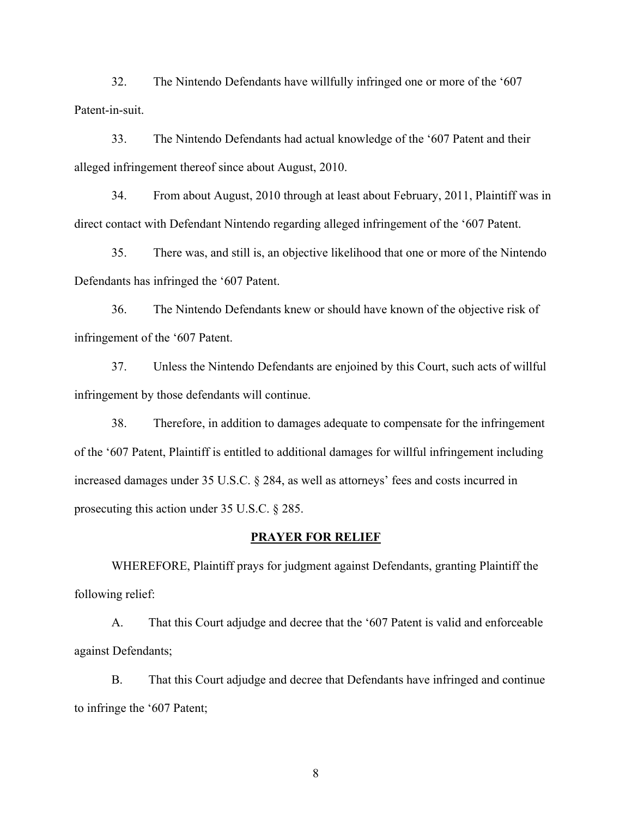32. The Nintendo Defendants have willfully infringed one or more of the '607 Patent-in-suit.

33. The Nintendo Defendants had actual knowledge of the '607 Patent and their alleged infringement thereof since about August, 2010.

34. From about August, 2010 through at least about February, 2011, Plaintiff was in direct contact with Defendant Nintendo regarding alleged infringement of the '607 Patent.

35. There was, and still is, an objective likelihood that one or more of the Nintendo Defendants has infringed the '607 Patent.

36. The Nintendo Defendants knew or should have known of the objective risk of infringement of the '607 Patent.

37. Unless the Nintendo Defendants are enjoined by this Court, such acts of willful infringement by those defendants will continue.

38. Therefore, in addition to damages adequate to compensate for the infringement of the '607 Patent, Plaintiff is entitled to additional damages for willful infringement including increased damages under 35 U.S.C. § 284, as well as attorneys' fees and costs incurred in prosecuting this action under 35 U.S.C. § 285.

# **PRAYER FOR RELIEF**

WHEREFORE, Plaintiff prays for judgment against Defendants, granting Plaintiff the following relief:

A. That this Court adjudge and decree that the '607 Patent is valid and enforceable against Defendants;

B. That this Court adjudge and decree that Defendants have infringed and continue to infringe the '607 Patent;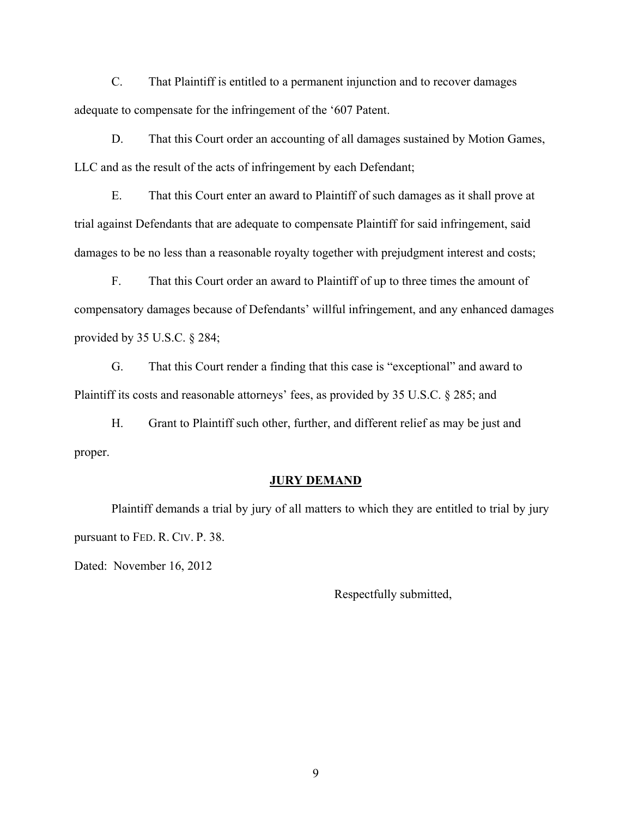C. That Plaintiff is entitled to a permanent injunction and to recover damages adequate to compensate for the infringement of the '607 Patent.

D. That this Court order an accounting of all damages sustained by Motion Games, LLC and as the result of the acts of infringement by each Defendant;

E. That this Court enter an award to Plaintiff of such damages as it shall prove at trial against Defendants that are adequate to compensate Plaintiff for said infringement, said damages to be no less than a reasonable royalty together with prejudgment interest and costs;

F. That this Court order an award to Plaintiff of up to three times the amount of compensatory damages because of Defendants' willful infringement, and any enhanced damages provided by 35 U.S.C. § 284;

G. That this Court render a finding that this case is "exceptional" and award to Plaintiff its costs and reasonable attorneys' fees, as provided by 35 U.S.C. § 285; and

H. Grant to Plaintiff such other, further, and different relief as may be just and proper.

# **JURY DEMAND**

Plaintiff demands a trial by jury of all matters to which they are entitled to trial by jury pursuant to FED. R. CIV. P. 38.

Dated: November 16, 2012

Respectfully submitted,